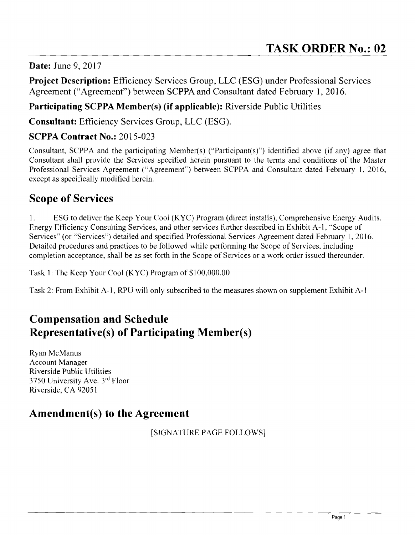### **Date:** June 9, 2017

**Project Description:** Efficiency Services Group, LLC (ESG) under Professional Services Agreement ("Agreement") between SCPPA and Consultant dated February 1,2016.

## **Participating SCPPA Member(s) (if applicable):** Riverside Public Utilities

**Consultant:** Efficiency Services Group, LLC (ESG).

## **SCPPA Contract No.:** 2015-023

Consultant, SCPPA and the participating Member(s) ("Participant(s)") identified above (if any) agree that Consultant shall provide the Services specified herein pursuant to the terms and conditions of the Master Professional Services Agreement ("Agreement") between SCPPA and Consultant dated February 1, 2016, except as specifically modified herein.

# **Scope of Services**

1. ESG to deliver the Keep Your Cool (KYC) Program (direct installs), Comprehensive Energy Audits, Energy Efficiency Consulting Services, and other services further described in Exhibit A-I, "Scope of Services" (or "Services") detailed and specified Professional Services Agreement dated February 1, 2016. Detailed procedures and practices to be followed while performing the Scope of Services, including completion acceptance, shall be as set forth in the Scope of Services or a work order issued thereunder.

Task 1: The Keep Your Cool (KYC) Program of \$1 00,000.00

Task 2: From Exhibit A-I, RPU will only subscribed to the measures shown on supplement Exhibit A-I

# **Compensation and Schedule Representative(s) of Participating Menlber(s)**

Ryan McManus Account Manager Riverside Public Utilities 3750 University Ave. 3rd Floor Riverside, CA 92051

# **Amendment(s) to the Agreement**

[SIGNATURE PAGE FOLLOWS]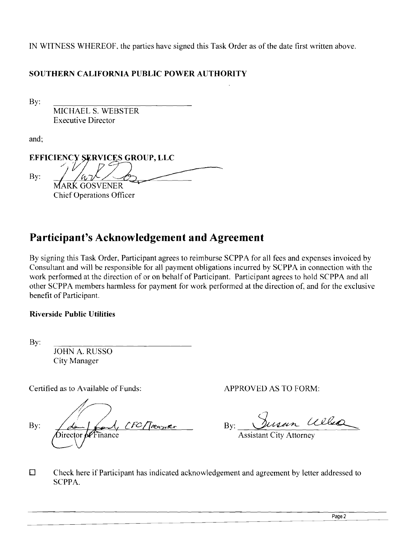IN WITNESS WHEREOF, the parties have signed this Task Order as of the date first written above.

### **SOUTHERN CALIFORNIA PUBLIC POWER AUTHORITY**

By:

MICHAEL S. WEBSTER Executive Director

and;

EFFICIENCY SERVICES GROUP, LLC By: MARK GOSVENER f1 Chief Operations Officer

# **Participant's Acknowledgement and Agreement**

By signing this Task Order, Participant agrees to reimburse SCPPA for all fees and expenses invoiced by Consultant and will be responsible for all payment obligations incurred by SCPPA in connection with the work performed at the direction of or on behalf of Participant. Participant agrees to hold SCPPA and all other SCPPA members harmless for payment for work performed at the direction of, and for the exclusive benefit of Participant.

### **Riverside Public Utilities**

By:

JOHN A. RUSSO City Manager

Certified as to Available of Funds: APPROVED AS TO FORM:

CFC/Treasurer By: lirector

7 By: Disem

Assistant City Attorney

D Check here if Participant has indicated acknowledgement and agreement by letter addressed to SCPPA.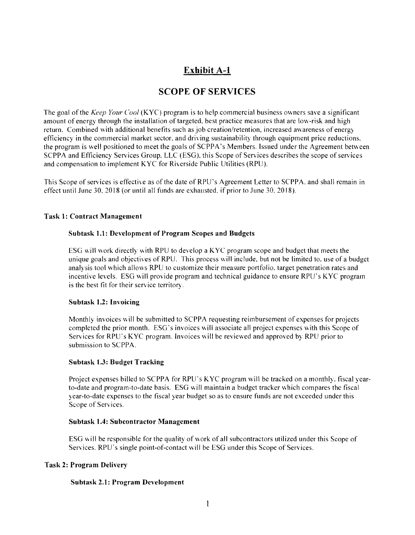## Exhibit A-I

## SCOPE OF SERVICES

The goal of the *Keep Your Cool* (KYC) program is to help commercial business owners save a significant amount of energy through the installation of targeted. best practice measures that are low-risk and high return. Combined with additional benefits such as job creation/retention, increased awareness of energy efficiency in the commercial market sector, and driving sustainability through equipment price reductions. the program is well positioned to meet the goals of SCPPA's Members. Issued under the Agreement between SCPPA and Efficiency Services Group, LLC (ESG), this Scope of Services describes the scope of services and compensation to implement KYC for Riverside Public Utilities (RPU).

This Scope of services is effective as of the date of RPU's Agreement Letter to SCPPA, and shall remain in effect until June 30, 2018 (or until all funds are exhausted, if prior to June 30, 2018).

#### Task 1: Contract Management

#### Subtask 1.1: Development of Program Scopes and Budgets

ESG will work directly with RPU to develop a KYC program scope and budget that meets the unique goals and objectives of RPU. This process will include, but not be limited to. use of a budget analysis tool which allows RPU to customize their measure portfolio, target penetration rates and incentive levels. ESG will provide program and technical guidance to ensure RPU's KYC program is the best fit for their service territory.

#### Subtask 1.2: Invoicing

Monthly invoices will be submitted to SCPPA requesting reimbursement of expenses for projects completed the prior month. ESG's invoices will associate all project expenses with this Scope of Services for RPU's KYC program. Invoices will be reviewed and approved by RPU prior to submission to SCPPA.

#### Subtask 1.3: Budget Tracking

Project expenses billed to SCPPA for RPU's KYC program will be tracked on a monthly, fiscal yearto-date and program-to-date basis. ESG will maintain a budget tracker which compares the fiscal year-to-date expenses to the fiscal year budget so as to ensure funds are not exceeded under this Scope of Services.

#### Subtask 1.4: Subcontractor Management

ESG will be responsible for the quality of work of all subcontractors utilized under this Scope of Services. RPU's single point-of-contact will be ESG under this Scope of Services.

#### Task 2: Program Delivery

#### Subtask 2.1: Program Development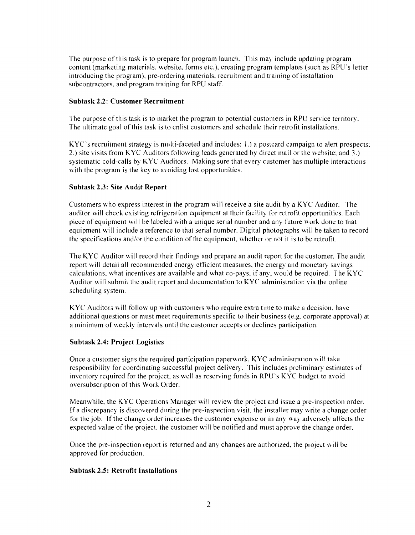The purpose of this task is to prepare for program launch. This may include updating program content (marketing materials. website, forms etc.), creating program templates (such as RPU's letter introducing the program), pre-ordering materials, recruitment and training of installation subcontractors. and program training for RPU staff.

#### Subtask 2.2: Customer Recruitment

The purpose of this task is to market the program to potential customers in RPU service territory. The ultimate goal of this task is to enlist customers and schedule their retrofit installations.

 $KYC$ 's recruitment strategy is multi-faceted and includes: 1.) a postcard campaign to alert prospects: 2.) site visits from KYC Auditors following leads generated by direct mail or the website; and 3.) systematic cold-calls by KYC Auditors. Making sure that every customer has multiple interactions with the program is the key to avoiding lost opportunities.

#### Subtask 2.3: Site Audit Report

Customers who express interest in the program will receive a site audit by a KYC Auditor. The auditor will check existing refrigeration equipment at their facility for retrofit opportunities. Each piece of equipment will be labeled with a unique serial number and any future work done to that equipment will include a reference to that serial number. Digital photographs will be taken to record the specifications and/or the condition of the equipment, whether or not it is to be retrofit.

The KYC Auditor will record their findings and prepare an audit report for the customer. The audit report will detail all recommended energy efficient measures, the energy and monetary savings calculations, what incentives are available and what co-pays, if any, would be required. The KYC Auditor will submit the audit report and documentation to KYC administration via the online scheduling system.

KYC Auditors will follow up with customers who require extra time to make a decision, have additional questions or must meet requirements specific to their business (e.g. corporate approval) at a minimum of weekly intervals until the customer accepts or declines participation.

#### Subtask 2.4: Project Logistics

Once a customer signs the required participation paperwork, KYC administration \\ ill take responsibility for coordinating successful project delivery. This includes preliminary estimates of inventory required for rhe project. as well as reserving funds in RPU's KYC budger to avoid oversubscription of this Work Order.

Meanwhile. the KYC Operations Manager will review the project and issue a pre-inspection order. If a discrepancy is discovered during the pre-inspection visit, the installer may write a change order for the job. If the change order increases the customer expense or in any way adversely affects the expected value of the project, the customer will be notified and must approve the change order.

Once the pre-inspection report is returned and any changes are authorized, the project will be approved for production.

#### Subtask 2.5: Retrofit Installations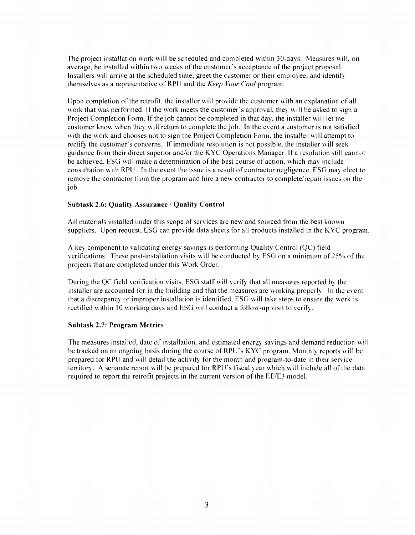The project installation work will be scheduled and completed within 30-days. Measures will, on average, be installed within two weeks of the customer's acceptance of the project proposal. Installers will arrive at the scheduled time, greet the customer or their employee, and identify themselves as a representative of RPU and the *Keep Your Coo!* program.

Upon completion of the retrofit, the installer will provide the customer with an explanation of all work that was performed. If the work meets the customer's approval, they will be asked to sign a Project Completion Form. If the job cannot be completed in that day. the installer will let the customer know when they will return to complete the job. In the event a customer is not satisfied with the work and chooses not to sign the Project Completion Form, the installer will attempt to rectify the customer's concerns. If immediate resolution is not possible, the installer will seek guidance from their direct superior and/or the KYC Operations Manager. If a resolution still cannot be achieved. ESG will make a determination of the best course of action. which may include consultation with RPU. In the event the issue is a result of contractor negligence. ESG may elect to remove the contractor from the program and hire a new contractor to complete/repair issues on the job.

#### Subtask 2.6: Quality Assurance / Quality Control

All materials installed under this scope of services are new and sourced from the best known suppliers. Upon request, ESG can provide data sheets for all products installed in the KYC program.

A key component to validating energy savings is performing Quality Control (QC) field verifications. These post-installation visits will be conducted by ESG on a minimum of25% of the projects that are completed under this Work Order.

During the QC field verification visits, ESG staff will verify that all measures reported by the installer are accounted for in the building and that the measures are working properly. In the event that a discrepancy or improper installation is identified, ESG will take steps to ensure the work is rectified within 10 working days and ESG will conduct a follow-up visit to verify.

#### Subtask 2.7: Program Metrics

The measures installed, date of installation, and estimated energy savings and demand reduction will be tracked on an ongoing basis during the course of RPU's KYC program. Monthly reports will be prepared for RPU and will detail the activity for the month and program-to-date in their service territory. A separate report will be prepared for RPU's fiscal year which will include all of the data required to report the retrofit projects in the current version of the EE/E3 model.